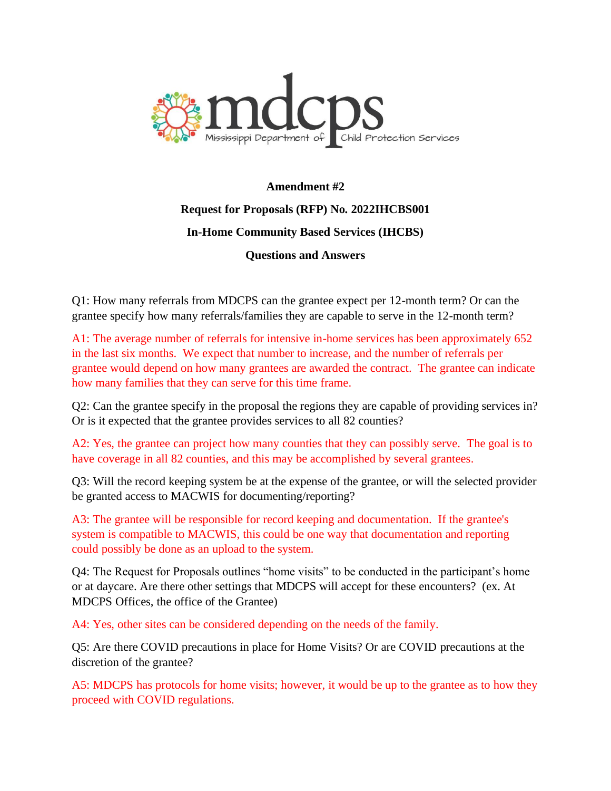

## **Amendment #2 Request for Proposals (RFP) No. 2022IHCBS001 In-Home Community Based Services (IHCBS) Questions and Answers**

Q1: How many referrals from MDCPS can the grantee expect per 12-month term? Or can the grantee specify how many referrals/families they are capable to serve in the 12-month term?

A1: The average number of referrals for intensive in-home services has been approximately 652 in the last six months. We expect that number to increase, and the number of referrals per grantee would depend on how many grantees are awarded the contract. The grantee can indicate how many families that they can serve for this time frame.

Q2: Can the grantee specify in the proposal the regions they are capable of providing services in? Or is it expected that the grantee provides services to all 82 counties?

A2: Yes, the grantee can project how many counties that they can possibly serve. The goal is to have coverage in all 82 counties, and this may be accomplished by several grantees.

Q3: Will the record keeping system be at the expense of the grantee, or will the selected provider be granted access to MACWIS for documenting/reporting?

A3: The grantee will be responsible for record keeping and documentation. If the grantee's system is compatible to MACWIS, this could be one way that documentation and reporting could possibly be done as an upload to the system.

Q4: The Request for Proposals outlines "home visits" to be conducted in the participant's home or at daycare. Are there other settings that MDCPS will accept for these encounters? (ex. At MDCPS Offices, the office of the Grantee)

A4: Yes, other sites can be considered depending on the needs of the family.

Q5: Are there COVID precautions in place for Home Visits? Or are COVID precautions at the discretion of the grantee?

A5: MDCPS has protocols for home visits; however, it would be up to the grantee as to how they proceed with COVID regulations.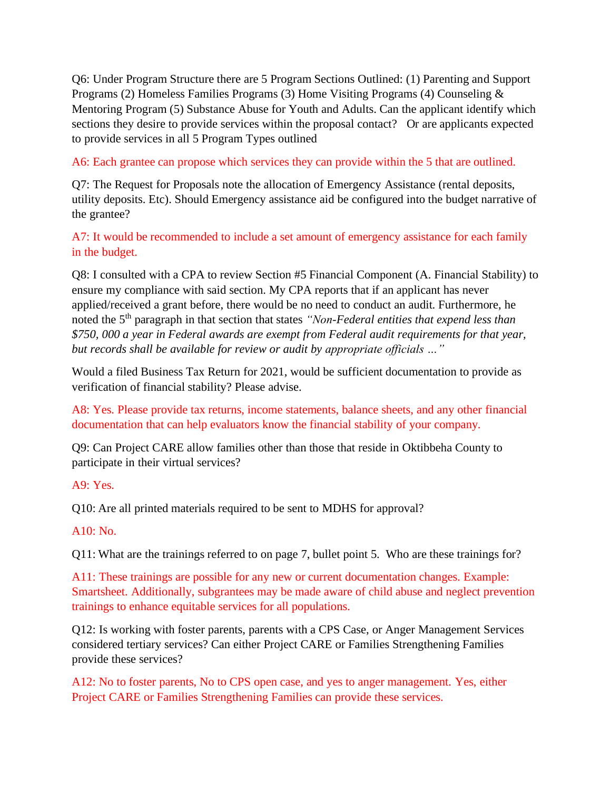Q6: Under Program Structure there are 5 Program Sections Outlined: (1) Parenting and Support Programs (2) Homeless Families Programs (3) Home Visiting Programs (4) Counseling & Mentoring Program (5) Substance Abuse for Youth and Adults. Can the applicant identify which sections they desire to provide services within the proposal contact? Or are applicants expected to provide services in all 5 Program Types outlined

A6: Each grantee can propose which services they can provide within the 5 that are outlined.

Q7: The Request for Proposals note the allocation of Emergency Assistance (rental deposits, utility deposits. Etc). Should Emergency assistance aid be configured into the budget narrative of the grantee?

A7: It would be recommended to include a set amount of emergency assistance for each family in the budget.

Q8: I consulted with a CPA to review Section #5 Financial Component (A. Financial Stability) to ensure my compliance with said section. My CPA reports that if an applicant has never applied/received a grant before, there would be no need to conduct an audit. Furthermore, he noted the 5<sup>th</sup> paragraph in that section that states *"Non-Federal entities that expend less than \$750, 000 a year in Federal awards are exempt from Federal audit requirements for that year, but records shall be available for review or audit by appropriate officials …"*

Would a filed Business Tax Return for 2021, would be sufficient documentation to provide as verification of financial stability? Please advise.

A8: Yes. Please provide tax returns, income statements, balance sheets, and any other financial documentation that can help evaluators know the financial stability of your company.

Q9: Can Project CARE allow families other than those that reside in Oktibbeha County to participate in their virtual services?

A9: Yes.

Q10: Are all printed materials required to be sent to MDHS for approval?

 $A10: No.$ 

Q11: What are the trainings referred to on page 7, bullet point 5. Who are these trainings for?

A11: These trainings are possible for any new or current documentation changes. Example: Smartsheet. Additionally, subgrantees may be made aware of child abuse and neglect prevention trainings to enhance equitable services for all populations.

Q12: Is working with foster parents, parents with a CPS Case, or Anger Management Services considered tertiary services? Can either Project CARE or Families Strengthening Families provide these services?

A12: No to foster parents, No to CPS open case, and yes to anger management. Yes, either Project CARE or Families Strengthening Families can provide these services.